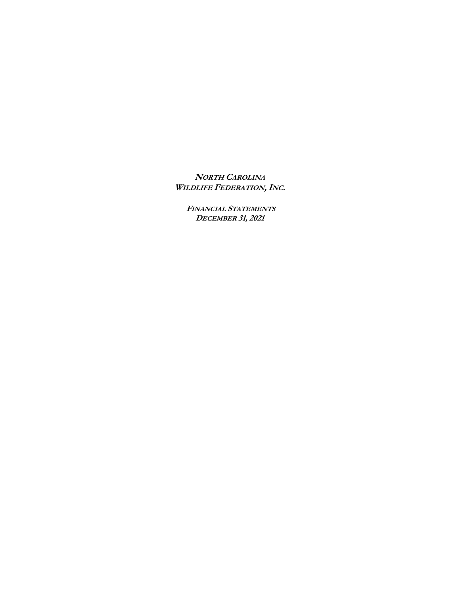**NORTH CAROLINA WILDLIFE FEDERATION,INC.** 

**FINANCIAL STATEMENTS DECEMBER 31, 2021**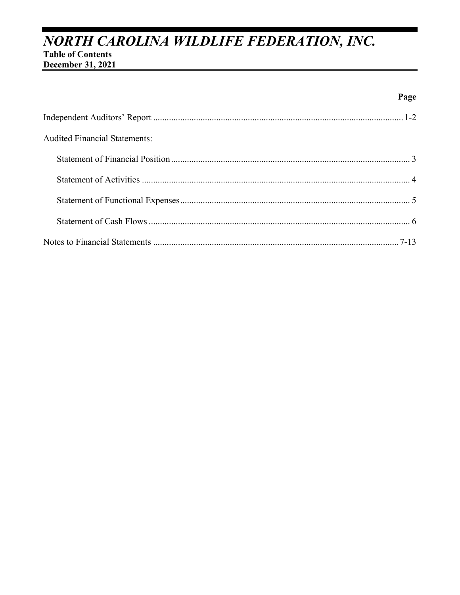# NORTH CAROLINA WILDLIFE FEDERATION, INC. **Table of Contents**

December 31, 2021

# Page

| <b>Audited Financial Statements:</b> |  |
|--------------------------------------|--|
|                                      |  |
|                                      |  |
|                                      |  |
|                                      |  |
|                                      |  |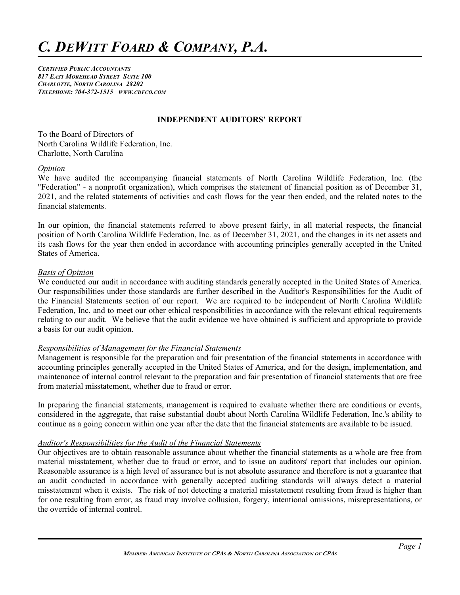*CERTIFIED PUBLIC ACCOUNTANTS 817 EAST MOREHEAD STREET SUITE 100 CHARLOTTE, NORTH CAROLINA 28202 TELEPHONE: 704-372-1515 WWW.CDFCO.COM*

#### **INDEPENDENT AUDITORS' REPORT**

To the Board of Directors of North Carolina Wildlife Federation, Inc. Charlotte, North Carolina

#### *Opinion*

We have audited the accompanying financial statements of North Carolina Wildlife Federation, Inc. (the "Federation" - a nonprofit organization), which comprises the statement of financial position as of December 31, 2021, and the related statements of activities and cash flows for the year then ended, and the related notes to the financial statements.

In our opinion, the financial statements referred to above present fairly, in all material respects, the financial position of North Carolina Wildlife Federation, Inc. as of December 31, 2021, and the changes in its net assets and its cash flows for the year then ended in accordance with accounting principles generally accepted in the United States of America.

#### *Basis of Opinion*

We conducted our audit in accordance with auditing standards generally accepted in the United States of America. Our responsibilities under those standards are further described in the Auditor's Responsibilities for the Audit of the Financial Statements section of our report. We are required to be independent of North Carolina Wildlife Federation, Inc. and to meet our other ethical responsibilities in accordance with the relevant ethical requirements relating to our audit. We believe that the audit evidence we have obtained is sufficient and appropriate to provide a basis for our audit opinion.

#### *Responsibilities of Management for the Financial Statements*

Management is responsible for the preparation and fair presentation of the financial statements in accordance with accounting principles generally accepted in the United States of America, and for the design, implementation, and maintenance of internal control relevant to the preparation and fair presentation of financial statements that are free from material misstatement, whether due to fraud or error.

In preparing the financial statements, management is required to evaluate whether there are conditions or events, considered in the aggregate, that raise substantial doubt about North Carolina Wildlife Federation, Inc.'s ability to continue as a going concern within one year after the date that the financial statements are available to be issued.

#### *Auditor's Responsibilities for the Audit of the Financial Statements*

Our objectives are to obtain reasonable assurance about whether the financial statements as a whole are free from material misstatement, whether due to fraud or error, and to issue an auditors' report that includes our opinion. Reasonable assurance is a high level of assurance but is not absolute assurance and therefore is not a guarantee that an audit conducted in accordance with generally accepted auditing standards will always detect a material misstatement when it exists. The risk of not detecting a material misstatement resulting from fraud is higher than for one resulting from error, as fraud may involve collusion, forgery, intentional omissions, misrepresentations, or the override of internal control.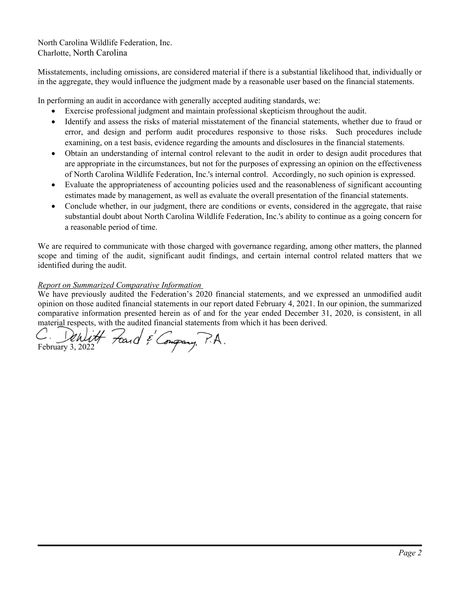North Carolina Wildlife Federation, Inc. Charlotte, North Carolina

Misstatements, including omissions, are considered material if there is a substantial likelihood that, individually or in the aggregate, they would influence the judgment made by a reasonable user based on the financial statements.

In performing an audit in accordance with generally accepted auditing standards, we:

- Exercise professional judgment and maintain professional skepticism throughout the audit.
- Identify and assess the risks of material misstatement of the financial statements, whether due to fraud or error, and design and perform audit procedures responsive to those risks. Such procedures include examining, on a test basis, evidence regarding the amounts and disclosures in the financial statements.
- Obtain an understanding of internal control relevant to the audit in order to design audit procedures that are appropriate in the circumstances, but not for the purposes of expressing an opinion on the effectiveness of North Carolina Wildlife Federation, Inc.'s internal control. Accordingly, no such opinion is expressed.
- Evaluate the appropriateness of accounting policies used and the reasonableness of significant accounting estimates made by management, as well as evaluate the overall presentation of the financial statements.
- Conclude whether, in our judgment, there are conditions or events, considered in the aggregate, that raise substantial doubt about North Carolina Wildlife Federation, Inc.'s ability to continue as a going concern for a reasonable period of time.

We are required to communicate with those charged with governance regarding, among other matters, the planned scope and timing of the audit, significant audit findings, and certain internal control related matters that we identified during the audit.

#### *Report on Summarized Comparative Information*

We have previously audited the Federation's 2020 financial statements, and we expressed an unmodified audit opinion on those audited financial statements in our report dated February 4, 2021. In our opinion, the summarized comparative information presented herein as of and for the year ended December 31, 2020, is consistent, in all material respects, with the audited financial statements from which it has been derived.

C. Denlitt Fand & Congrany, P.A.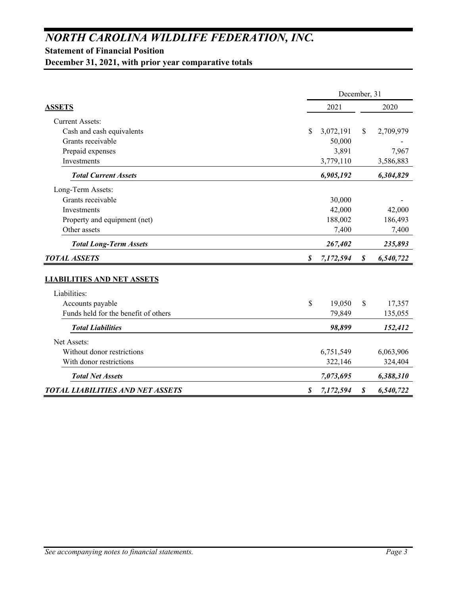# *NORTH CAROLINA WILDLIFE FEDERATION, INC.*

# **Statement of Financial Position**

**December 31, 2021, with prior year comparative totals**

|                                         | December, 31 |              |               |           |  |  |  |
|-----------------------------------------|--------------|--------------|---------------|-----------|--|--|--|
| <b>ASSETS</b>                           |              | 2021<br>2020 |               |           |  |  |  |
| <b>Current Assets:</b>                  |              |              |               |           |  |  |  |
| Cash and cash equivalents               | \$           | 3,072,191    | <sup>\$</sup> | 2,709,979 |  |  |  |
| Grants receivable                       |              | 50,000       |               |           |  |  |  |
| Prepaid expenses                        |              | 3,891        |               | 7,967     |  |  |  |
| Investments                             |              | 3,779,110    |               | 3,586,883 |  |  |  |
| <b>Total Current Assets</b>             |              | 6,905,192    |               | 6,304,829 |  |  |  |
| Long-Term Assets:                       |              |              |               |           |  |  |  |
| Grants receivable                       |              | 30,000       |               |           |  |  |  |
| Investments                             |              | 42,000       |               | 42,000    |  |  |  |
| Property and equipment (net)            |              | 188,002      |               | 186,493   |  |  |  |
| Other assets                            |              | 7,400        |               | 7,400     |  |  |  |
| <b>Total Long-Term Assets</b>           |              | 267,402      |               | 235,893   |  |  |  |
| <b>TOTAL ASSETS</b>                     | \$           | 7,172,594    | \$            | 6,540,722 |  |  |  |
| <b>LIABILITIES AND NET ASSETS</b>       |              |              |               |           |  |  |  |
| Liabilities:                            |              |              |               |           |  |  |  |
| Accounts payable                        | \$           | 19,050       | \$            | 17,357    |  |  |  |
| Funds held for the benefit of others    |              | 79,849       |               | 135,055   |  |  |  |
| <b>Total Liabilities</b>                |              | 98,899       |               | 152,412   |  |  |  |
| Net Assets:                             |              |              |               |           |  |  |  |
| Without donor restrictions              |              | 6,751,549    |               | 6,063,906 |  |  |  |
| With donor restrictions                 |              | 322,146      |               | 324,404   |  |  |  |
| <b>Total Net Assets</b>                 |              | 7,073,695    |               | 6,388,310 |  |  |  |
| <b>TOTAL LIABILITIES AND NET ASSETS</b> | S            | 7,172,594    | S             | 6,540,722 |  |  |  |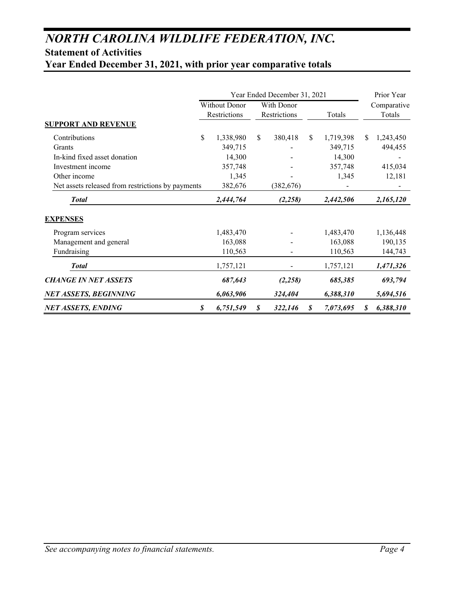# *NORTH CAROLINA WILDLIFE FEDERATION, INC.*

# **Statement of Activities**

**Year Ended December 31, 2021, with prior year comparative totals**

|                                                   | Year Ended December 31, 2021 |                                      |    |                            |               |           |     | Prior Year            |
|---------------------------------------------------|------------------------------|--------------------------------------|----|----------------------------|---------------|-----------|-----|-----------------------|
|                                                   |                              | <b>Without Donor</b><br>Restrictions |    | With Donor<br>Restrictions |               | Totals    |     | Comparative<br>Totals |
| <b>SUPPORT AND REVENUE</b>                        |                              |                                      |    |                            |               |           |     |                       |
| Contributions                                     | \$                           | 1,338,980                            | \$ | 380,418                    | <sup>\$</sup> | 1,719,398 | \$. | 1,243,450             |
| Grants                                            |                              | 349,715                              |    |                            |               | 349,715   |     | 494,455               |
| In-kind fixed asset donation                      |                              | 14,300                               |    |                            |               | 14,300    |     |                       |
| Investment income                                 |                              | 357,748                              |    |                            |               | 357,748   |     | 415,034               |
| Other income                                      |                              | 1,345                                |    |                            |               | 1,345     |     | 12,181                |
| Net assets released from restrictions by payments |                              | 382,676                              |    | (382, 676)                 |               |           |     |                       |
| <b>Total</b>                                      |                              | 2,444,764                            |    | (2,258)                    |               | 2,442,506 |     | 2,165,120             |
| <b>EXPENSES</b>                                   |                              |                                      |    |                            |               |           |     |                       |
| Program services                                  |                              | 1,483,470                            |    |                            |               | 1,483,470 |     | 1,136,448             |
| Management and general                            |                              | 163,088                              |    |                            |               | 163,088   |     | 190,135               |
| Fundraising                                       |                              | 110,563                              |    |                            |               | 110,563   |     | 144,743               |
| <b>Total</b>                                      |                              | 1,757,121                            |    |                            |               | 1,757,121 |     | 1,471,326             |
| <b>CHANGE IN NET ASSETS</b>                       |                              | 687,643                              |    | (2,258)                    |               | 685,385   |     | 693,794               |
| <b>NET ASSETS, BEGINNING</b>                      |                              | 6,063,906                            |    | 324,404                    |               | 6,388,310 |     | 5,694,516             |
| <b>NET ASSETS, ENDING</b>                         | \$                           | 6,751,549                            | S  | 322,146                    | S             | 7,073,695 | S   | 6,388,310             |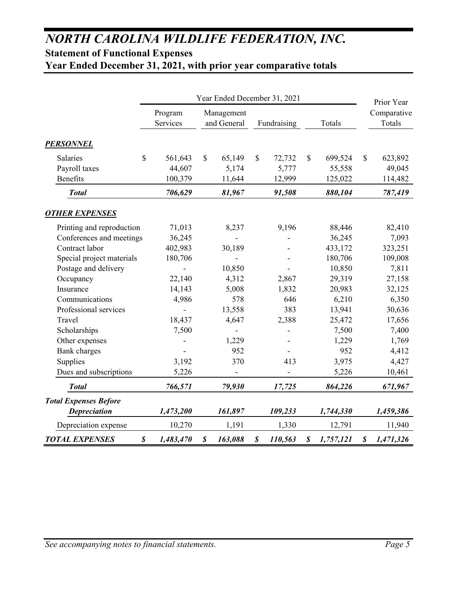# *NORTH CAROLINA WILDLIFE FEDERATION, INC.* **Statement of Functional Expenses**

**Year Ended December 31, 2021, with prior year comparative totals**

|                              | Year Ended December 31, 2021 |                          |                  |                           |              |             |                  | Prior Year |              |           |                       |
|------------------------------|------------------------------|--------------------------|------------------|---------------------------|--------------|-------------|------------------|------------|--------------|-----------|-----------------------|
|                              |                              | Program<br>Services      |                  | Management<br>and General |              | Fundraising | Totals           |            |              |           | Comparative<br>Totals |
| <b>PERSONNEL</b>             |                              |                          |                  |                           |              |             |                  |            |              |           |                       |
| Salaries                     | \$                           | 561,643                  | $\mathbb{S}$     | 65,149                    | $\mathbb{S}$ | 72,732      | $\mathbb{S}$     | 699,524    | $\mathbb{S}$ | 623,892   |                       |
| Payroll taxes                |                              | 44,607                   |                  | 5,174                     |              | 5,777       |                  | 55,558     |              | 49,045    |                       |
| Benefits                     |                              | 100,379                  |                  | 11,644                    |              | 12,999      |                  | 125,022    |              | 114,482   |                       |
| <b>Total</b>                 |                              | 706,629                  |                  | 81,967                    |              | 91,508      |                  | 880,104    |              | 787,419   |                       |
| <b>OTHER EXPENSES</b>        |                              |                          |                  |                           |              |             |                  |            |              |           |                       |
| Printing and reproduction    |                              | 71,013                   |                  | 8,237                     |              | 9,196       |                  | 88,446     |              | 82,410    |                       |
| Conferences and meetings     |                              | 36,245                   |                  |                           |              |             |                  | 36,245     |              | 7,093     |                       |
| Contract labor               |                              | 402,983                  |                  | 30,189                    |              |             |                  | 433,172    |              | 323,251   |                       |
| Special project materials    |                              | 180,706                  |                  |                           |              |             |                  | 180,706    |              | 109,008   |                       |
| Postage and delivery         |                              | $\overline{\phantom{0}}$ |                  | 10,850                    |              |             |                  | 10,850     |              | 7,811     |                       |
| Occupancy                    |                              | 22,140                   |                  | 4,312                     |              | 2,867       |                  | 29,319     |              | 27,158    |                       |
| Insurance                    |                              | 14,143                   |                  | 5,008                     |              | 1,832       |                  | 20,983     |              | 32,125    |                       |
| Communications               |                              | 4,986                    |                  | 578                       |              | 646         |                  | 6,210      |              | 6,350     |                       |
| Professional services        |                              | $\overline{a}$           |                  | 13,558                    |              | 383         |                  | 13,941     |              | 30,636    |                       |
| Travel                       |                              | 18,437                   |                  | 4,647                     |              | 2,388       |                  | 25,472     |              | 17,656    |                       |
| Scholarships                 |                              | 7,500                    |                  |                           |              |             |                  | 7,500      |              | 7,400     |                       |
| Other expenses               |                              |                          |                  | 1,229                     |              |             |                  | 1,229      |              | 1,769     |                       |
| <b>Bank</b> charges          |                              |                          |                  | 952                       |              |             |                  | 952        |              | 4,412     |                       |
| Supplies                     |                              | 3,192                    |                  | 370                       |              | 413         |                  | 3,975      |              | 4,427     |                       |
| Dues and subscriptions       |                              | 5,226                    |                  |                           |              |             |                  | 5,226      |              | 10,461    |                       |
| <b>Total</b>                 |                              | 766,571                  |                  | 79,930                    |              | 17,725      |                  | 864,226    |              | 671,967   |                       |
| <b>Total Expenses Before</b> |                              |                          |                  |                           |              |             |                  |            |              |           |                       |
| <b>Depreciation</b>          |                              | 1,473,200                |                  | 161,897                   |              | 109,233     |                  | 1,744,330  |              | 1,459,386 |                       |
| Depreciation expense         |                              | 10,270                   |                  | 1,191                     |              | 1,330       |                  | 12,791     |              | 11,940    |                       |
| <b>TOTAL EXPENSES</b>        | $\boldsymbol{\mathcal{S}}$   | 1,483,470                | $\boldsymbol{s}$ | 163,088                   | \$           | 110,563     | $\boldsymbol{s}$ | 1,757,121  | \$           | 1,471,326 |                       |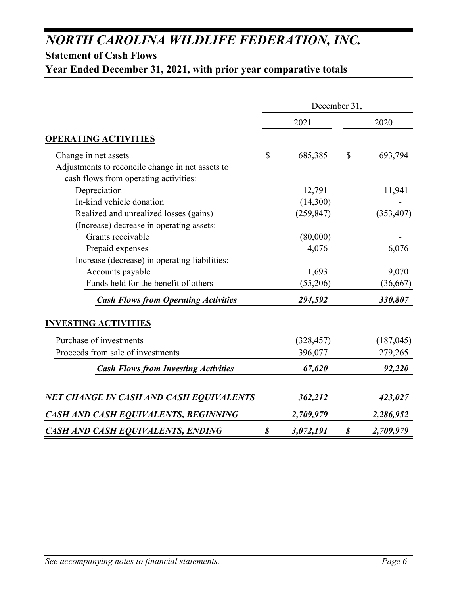# *NORTH CAROLINA WILDLIFE FEDERATION, INC.*

# **Statement of Cash Flows**

**Year Ended December 31, 2021, with prior year comparative totals**

|                                                                                           | December 31,               |            |                            |            |  |
|-------------------------------------------------------------------------------------------|----------------------------|------------|----------------------------|------------|--|
|                                                                                           |                            | 2021       |                            | 2020       |  |
| <b>OPERATING ACTIVITIES</b>                                                               |                            |            |                            |            |  |
| Change in net assets                                                                      | $\mathbb{S}$               | 685,385    | $\mathcal{S}$              | 693,794    |  |
| Adjustments to reconcile change in net assets to<br>cash flows from operating activities: |                            |            |                            |            |  |
| Depreciation                                                                              |                            | 12,791     |                            | 11,941     |  |
| In-kind vehicle donation                                                                  |                            | (14,300)   |                            |            |  |
| Realized and unrealized losses (gains)                                                    |                            | (259, 847) |                            | (353, 407) |  |
| (Increase) decrease in operating assets:                                                  |                            |            |                            |            |  |
| Grants receivable                                                                         |                            | (80,000)   |                            |            |  |
| Prepaid expenses                                                                          |                            | 4,076      |                            | 6,076      |  |
| Increase (decrease) in operating liabilities:                                             |                            |            |                            |            |  |
| Accounts payable                                                                          |                            | 1,693      |                            | 9,070      |  |
| Funds held for the benefit of others                                                      |                            | (55,206)   |                            | (36, 667)  |  |
| <b>Cash Flows from Operating Activities</b>                                               |                            | 294,592    |                            | 330,807    |  |
| <b>INVESTING ACTIVITIES</b>                                                               |                            |            |                            |            |  |
| Purchase of investments                                                                   |                            | (328, 457) |                            | (187, 045) |  |
| Proceeds from sale of investments                                                         |                            | 396,077    |                            | 279,265    |  |
| <b>Cash Flows from Investing Activities</b>                                               |                            | 67,620     |                            | 92,220     |  |
| <b>NET CHANGE IN CASH AND CASH EQUIVALENTS</b>                                            |                            | 362,212    |                            | 423,027    |  |
| CASH AND CASH EQUIVALENTS, BEGINNING                                                      |                            | 2,709,979  |                            | 2,286,952  |  |
| <b>CASH AND CASH EQUIVALENTS, ENDING</b>                                                  | $\boldsymbol{\mathcal{S}}$ | 3,072,191  | $\boldsymbol{\mathcal{S}}$ | 2,709,979  |  |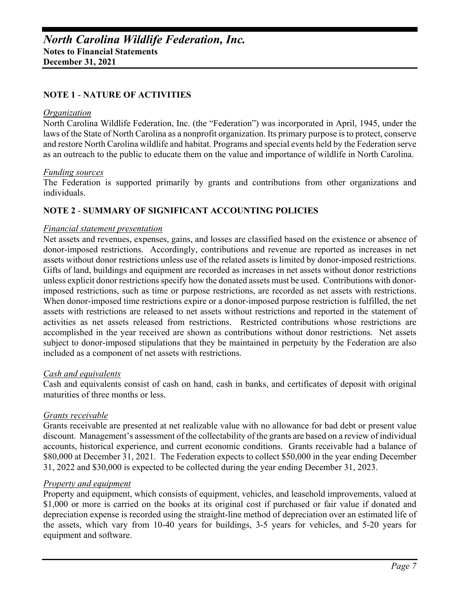#### **NOTE 1** - **NATURE OF ACTIVITIES**

#### *Organization*

North Carolina Wildlife Federation, Inc. (the "Federation") was incorporated in April, 1945, under the laws of the State of North Carolina as a nonprofit organization. Its primary purpose is to protect, conserve and restore North Carolina wildlife and habitat. Programs and special events held by the Federation serve as an outreach to the public to educate them on the value and importance of wildlife in North Carolina.

#### *Funding sources*

The Federation is supported primarily by grants and contributions from other organizations and individuals.

#### **NOTE 2** - **SUMMARY OF SIGNIFICANT ACCOUNTING POLICIES**

#### *Financial statement presentation*

Net assets and revenues, expenses, gains, and losses are classified based on the existence or absence of donor-imposed restrictions. Accordingly, contributions and revenue are reported as increases in net assets without donor restrictions unless use of the related assets is limited by donor-imposed restrictions. Gifts of land, buildings and equipment are recorded as increases in net assets without donor restrictions unless explicit donor restrictions specify how the donated assets must be used. Contributions with donorimposed restrictions, such as time or purpose restrictions, are recorded as net assets with restrictions. When donor-imposed time restrictions expire or a donor-imposed purpose restriction is fulfilled, the net assets with restrictions are released to net assets without restrictions and reported in the statement of activities as net assets released from restrictions. Restricted contributions whose restrictions are accomplished in the year received are shown as contributions without donor restrictions. Net assets subject to donor-imposed stipulations that they be maintained in perpetuity by the Federation are also included as a component of net assets with restrictions.

#### *Cash and equivalents*

Cash and equivalents consist of cash on hand, cash in banks, and certificates of deposit with original maturities of three months or less.

#### *Grants receivable*

Grants receivable are presented at net realizable value with no allowance for bad debt or present value discount. Management's assessment of the collectability of the grants are based on a review of individual accounts, historical experience, and current economic conditions. Grants receivable had a balance of \$80,000 at December 31, 2021. The Federation expects to collect \$50,000 in the year ending December 31, 2022 and \$30,000 is expected to be collected during the year ending December 31, 2023.

#### *Property and equipment*

Property and equipment, which consists of equipment, vehicles, and leasehold improvements, valued at \$1,000 or more is carried on the books at its original cost if purchased or fair value if donated and depreciation expense is recorded using the straight-line method of depreciation over an estimated life of the assets, which vary from 10-40 years for buildings, 3-5 years for vehicles, and 5-20 years for equipment and software.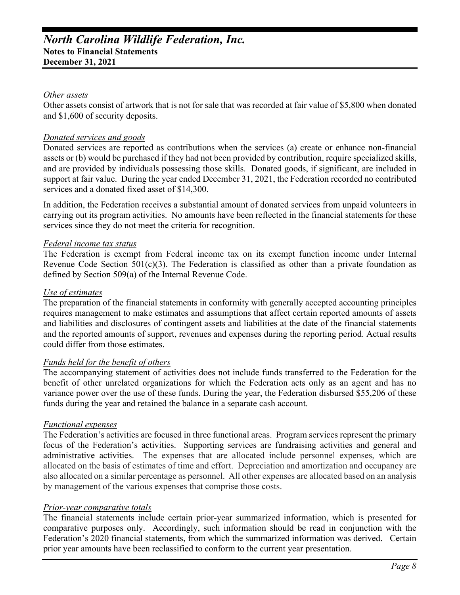# *North Carolina Wildlife Federation, Inc.*  **Notes to Financial Statements December 31, 2021**

#### *Other assets*

Other assets consist of artwork that is not for sale that was recorded at fair value of \$5,800 when donated and \$1,600 of security deposits.

#### *Donated services and goods*

Donated services are reported as contributions when the services (a) create or enhance non-financial assets or (b) would be purchased if they had not been provided by contribution, require specialized skills, and are provided by individuals possessing those skills. Donated goods, if significant, are included in support at fair value. During the year ended December 31, 2021, the Federation recorded no contributed services and a donated fixed asset of \$14,300.

In addition, the Federation receives a substantial amount of donated services from unpaid volunteers in carrying out its program activities. No amounts have been reflected in the financial statements for these services since they do not meet the criteria for recognition.

#### *Federal income tax status*

The Federation is exempt from Federal income tax on its exempt function income under Internal Revenue Code Section  $501(c)(3)$ . The Federation is classified as other than a private foundation as defined by Section 509(a) of the Internal Revenue Code.

#### *Use of estimates*

The preparation of the financial statements in conformity with generally accepted accounting principles requires management to make estimates and assumptions that affect certain reported amounts of assets and liabilities and disclosures of contingent assets and liabilities at the date of the financial statements and the reported amounts of support, revenues and expenses during the reporting period. Actual results could differ from those estimates.

#### *Funds held for the benefit of others*

The accompanying statement of activities does not include funds transferred to the Federation for the benefit of other unrelated organizations for which the Federation acts only as an agent and has no variance power over the use of these funds. During the year, the Federation disbursed \$55,206 of these funds during the year and retained the balance in a separate cash account.

#### *Functional expenses*

The Federation's activities are focused in three functional areas. Program services represent the primary focus of the Federation's activities. Supporting services are fundraising activities and general and administrative activities. The expenses that are allocated include personnel expenses, which are allocated on the basis of estimates of time and effort. Depreciation and amortization and occupancy are also allocated on a similar percentage as personnel. All other expenses are allocated based on an analysis by management of the various expenses that comprise those costs.

#### *Prior-year comparative totals*

The financial statements include certain prior-year summarized information, which is presented for comparative purposes only. Accordingly, such information should be read in conjunction with the Federation's 2020 financial statements, from which the summarized information was derived. Certain prior year amounts have been reclassified to conform to the current year presentation.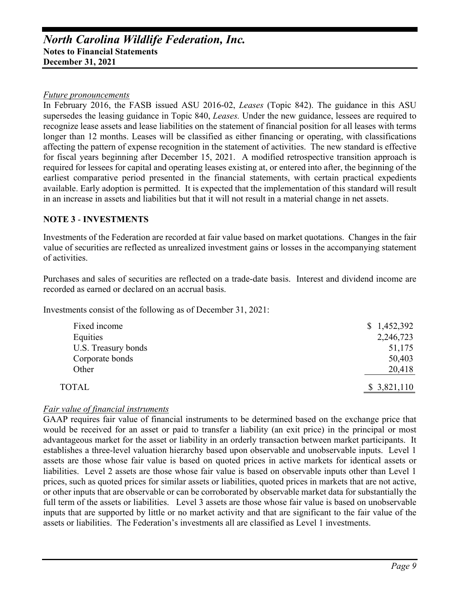# *North Carolina Wildlife Federation, Inc.*  **Notes to Financial Statements December 31, 2021**

#### *Future pronouncements*

In February 2016, the FASB issued ASU 2016-02, *Leases* (Topic 842). The guidance in this ASU supersedes the leasing guidance in Topic 840, *Leases.* Under the new guidance, lessees are required to recognize lease assets and lease liabilities on the statement of financial position for all leases with terms longer than 12 months. Leases will be classified as either financing or operating, with classifications affecting the pattern of expense recognition in the statement of activities. The new standard is effective for fiscal years beginning after December 15, 2021. A modified retrospective transition approach is required for lessees for capital and operating leases existing at, or entered into after, the beginning of the earliest comparative period presented in the financial statements, with certain practical expedients available. Early adoption is permitted. It is expected that the implementation of this standard will result in an increase in assets and liabilities but that it will not result in a material change in net assets.

### **NOTE 3** - **INVESTMENTS**

Investments of the Federation are recorded at fair value based on market quotations. Changes in the fair value of securities are reflected as unrealized investment gains or losses in the accompanying statement of activities.

Purchases and sales of securities are reflected on a trade-date basis. Interest and dividend income are recorded as earned or declared on an accrual basis.

Investments consist of the following as of December 31, 2021:

| Fixed income        | \$1,452,392 |
|---------------------|-------------|
| Equities            | 2,246,723   |
| U.S. Treasury bonds | 51,175      |
| Corporate bonds     | 50,403      |
| Other               | 20,418      |
| <b>TOTAL</b>        | \$3,821,110 |

#### *Fair value of financial instruments*

GAAP requires fair value of financial instruments to be determined based on the exchange price that would be received for an asset or paid to transfer a liability (an exit price) in the principal or most advantageous market for the asset or liability in an orderly transaction between market participants. It establishes a three-level valuation hierarchy based upon observable and unobservable inputs. Level 1 assets are those whose fair value is based on quoted prices in active markets for identical assets or liabilities. Level 2 assets are those whose fair value is based on observable inputs other than Level 1 prices, such as quoted prices for similar assets or liabilities, quoted prices in markets that are not active, or other inputs that are observable or can be corroborated by observable market data for substantially the full term of the assets or liabilities. Level 3 assets are those whose fair value is based on unobservable inputs that are supported by little or no market activity and that are significant to the fair value of the assets or liabilities. The Federation's investments all are classified as Level 1 investments.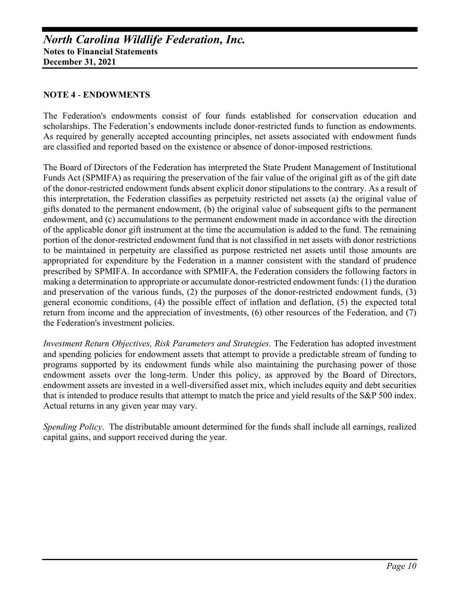#### **NOTE 4** - **ENDOWMENTS**

The Federation's endowments consist of four funds established for conservation education and scholarships. The Federation's endowments include donor-restricted funds to function as endowments. As required by generally accepted accounting principles, net assets associated with endowment funds are classified and reported based on the existence or absence of donor-imposed restrictions.

The Board of Directors of the Federation has interpreted the State Prudent Management of Institutional Funds Act (SPMIFA) as requiring the preservation of the fair value of the original gift as of the gift date of the donor-restricted endowment funds absent explicit donor stipulations to the contrary. As a result of this interpretation, the Federation classifies as perpetuity restricted net assets (a) the original value of gifts donated to the permanent endowment, (b) the original value of subsequent gifts to the permanent endowment, and (c) accumulations to the permanent endowment made in accordance with the direction of the applicable donor gift instrument at the time the accumulation is added to the fund. The remaining portion of the donor-restricted endowment fund that is not classified in net assets with donor restrictions to be maintained in perpetuity are classified as purpose restricted net assets until those amounts are appropriated for expenditure by the Federation in a manner consistent with the standard of prudence prescribed by SPMIFA. In accordance with SPMIFA, the Federation considers the following factors in making a determination to appropriate or accumulate donor-restricted endowment funds: (1) the duration and preservation of the various funds, (2) the purposes of the donor-restricted endowment funds, (3) general economic conditions, (4) the possible effect of inflation and deflation, (5) the expected total return from income and the appreciation of investments, (6) other resources of the Federation, and (7) the Federation's investment policies.

*Investment Return Objectives, Risk Parameters and Strategies.* The Federation has adopted investment and spending policies for endowment assets that attempt to provide a predictable stream of funding to programs supported by its endowment funds while also maintaining the purchasing power of those endowment assets over the long-term. Under this policy, as approved by the Board of Directors, endowment assets are invested in a well-diversified asset mix, which includes equity and debt securities that is intended to produce results that attempt to match the price and yield results of the S&P 500 index. Actual returns in any given year may vary.

*Spending Policy*. The distributable amount determined for the funds shall include all earnings, realized capital gains, and support received during the year.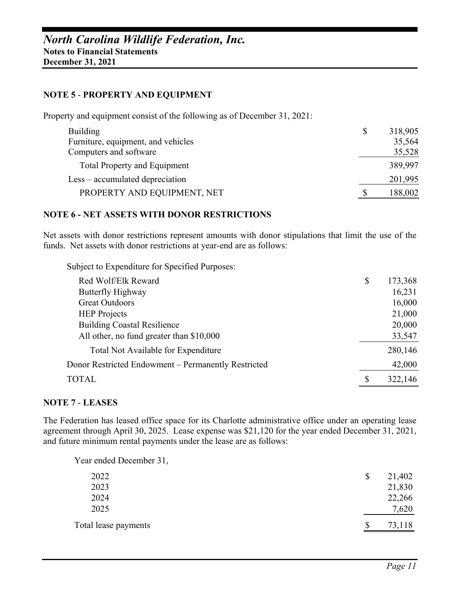#### **NOTE 5** - **PROPERTY AND EQUIPMENT**

Property and equipment consist of the following as of December 31, 2021:

| <b>Building</b>                     | 318,905 |
|-------------------------------------|---------|
| Furniture, equipment, and vehicles  | 35,564  |
| Computers and software              | 35,528  |
| <b>Total Property and Equipment</b> | 389,997 |
| Less – accumulated depreciation     | 201,995 |
| PROPERTY AND EQUIPMENT, NET         | 188,002 |

#### **NOTE 6 - NET ASSETS WITH DONOR RESTRICTIONS**

Net assets with donor restrictions represent amounts with donor stipulations that limit the use of the funds. Net assets with donor restrictions at year-end are as follows:

Subject to Expenditure for Specified Purposes:

| Red Wolf/Elk Reward                                 | \$<br>173,368 |
|-----------------------------------------------------|---------------|
| Butterfly Highway                                   | 16,231        |
| <b>Great Outdoors</b>                               | 16,000        |
| <b>HEP</b> Projects                                 | 21,000        |
| <b>Building Coastal Resilience</b>                  | 20,000        |
| All other, no fund greater than \$10,000            | 33,547        |
| Total Not Available for Expenditure                 | 280,146       |
| Donor Restricted Endowment - Permanently Restricted | 42,000        |
| <b>TOTAL</b>                                        | \$<br>322,146 |

#### **NOTE 7** - **LEASES**

The Federation has leased office space for its Charlotte administrative office under an operating lease agreement through April 30, 2025. Lease expense was \$21,120 for the year ended December 31, 2021, and future minimum rental payments under the lease are as follows:

Year ended December 31,

| 2022                 | 21,402 |
|----------------------|--------|
| 2023                 | 21,830 |
| 2024                 | 22,266 |
| 2025                 | 7,620  |
| Total lease payments | 73,118 |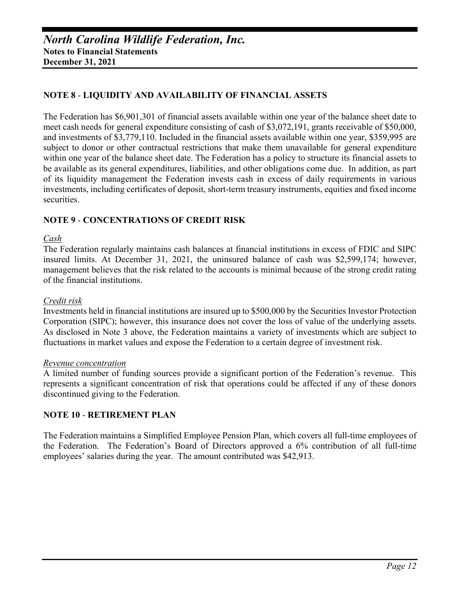# **NOTE 8** - **LIQUIDITY AND AVAILABILITY OF FINANCIAL ASSETS**

The Federation has \$6,901,301 of financial assets available within one year of the balance sheet date to meet cash needs for general expenditure consisting of cash of \$3,072,191, grants receivable of \$50,000, and investments of \$3,779,110. Included in the financial assets available within one year, \$359,995 are subject to donor or other contractual restrictions that make them unavailable for general expenditure within one year of the balance sheet date. The Federation has a policy to structure its financial assets to be available as its general expenditures, liabilities, and other obligations come due. In addition, as part of its liquidity management the Federation invests cash in excess of daily requirements in various investments, including certificates of deposit, short-term treasury instruments, equities and fixed income securities.

## **NOTE 9** - **CONCENTRATIONS OF CREDIT RISK**

#### *Cash*

The Federation regularly maintains cash balances at financial institutions in excess of FDIC and SIPC insured limits. At December 31, 2021, the uninsured balance of cash was \$2,599,174; however, management believes that the risk related to the accounts is minimal because of the strong credit rating of the financial institutions.

#### *Credit risk*

Investments held in financial institutions are insured up to \$500,000 by the Securities Investor Protection Corporation (SIPC); however, this insurance does not cover the loss of value of the underlying assets. As disclosed in Note 3 above, the Federation maintains a variety of investments which are subject to fluctuations in market values and expose the Federation to a certain degree of investment risk.

#### *Revenue concentration*

A limited number of funding sources provide a significant portion of the Federation's revenue. This represents a significant concentration of risk that operations could be affected if any of these donors discontinued giving to the Federation.

#### **NOTE 10** - **RETIREMENT PLAN**

The Federation maintains a Simplified Employee Pension Plan, which covers all full-time employees of the Federation. The Federation's Board of Directors approved a 6% contribution of all full-time employees' salaries during the year. The amount contributed was \$42,913.